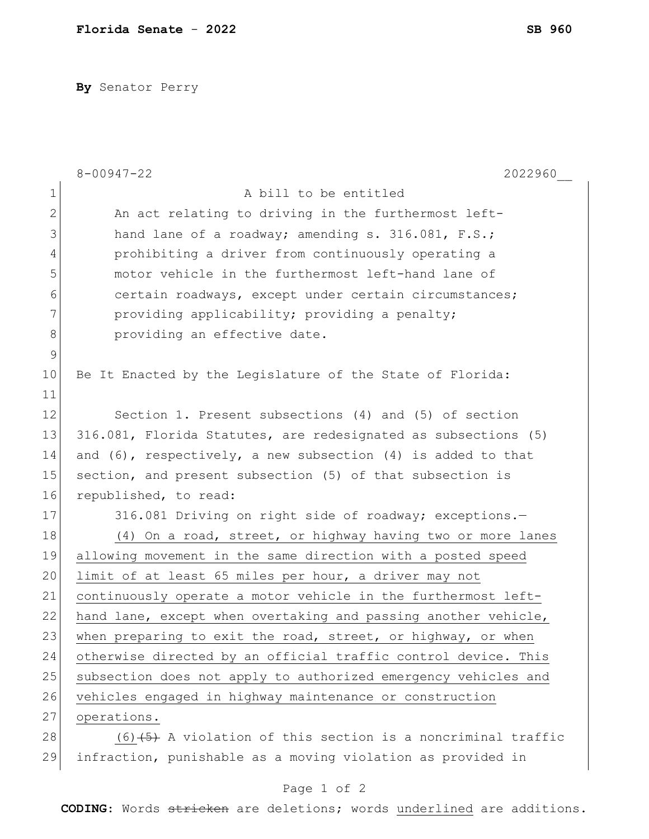**By** Senator Perry

|               | $8 - 00947 - 22$<br>2022960                                       |
|---------------|-------------------------------------------------------------------|
| $\mathbf 1$   | A bill to be entitled                                             |
| $\mathbf{2}$  | An act relating to driving in the furthermost left-               |
| 3             | hand lane of a roadway; amending s. 316.081, F.S.;                |
| 4             | prohibiting a driver from continuously operating a                |
| 5             | motor vehicle in the furthermost left-hand lane of                |
| 6             | certain roadways, except under certain circumstances;             |
| 7             | providing applicability; providing a penalty;                     |
| 8             | providing an effective date.                                      |
| $\mathcal{G}$ |                                                                   |
| 10            | Be It Enacted by the Leqislature of the State of Florida:         |
| 11            |                                                                   |
| 12            | Section 1. Present subsections (4) and (5) of section             |
| 13            | 316.081, Florida Statutes, are redesignated as subsections (5)    |
| 14            | and $(6)$ , respectively, a new subsection $(4)$ is added to that |
| 15            | section, and present subsection (5) of that subsection is         |
| 16            | republished, to read:                                             |
| 17            | 316.081 Driving on right side of roadway; exceptions.-            |
| 18            | (4) On a road, street, or highway having two or more lanes        |
| 19            | allowing movement in the same direction with a posted speed       |
| 20            | limit of at least 65 miles per hour, a driver may not             |
| 21            | continuously operate a motor vehicle in the furthermost left-     |
| 22            | hand lane, except when overtaking and passing another vehicle,    |
| 23            | when preparing to exit the road, street, or highway, or when      |
| 24            | otherwise directed by an official traffic control device. This    |
| 25            | subsection does not apply to authorized emergency vehicles and    |
| 26            | vehicles engaged in highway maintenance or construction           |
| 27            | operations.                                                       |
| 28            | $(6)$ $(5)$ A violation of this section is a noncriminal traffic  |
| 29            | infraction, punishable as a moving violation as provided in       |

**CODING**: Words stricken are deletions; words underlined are additions.